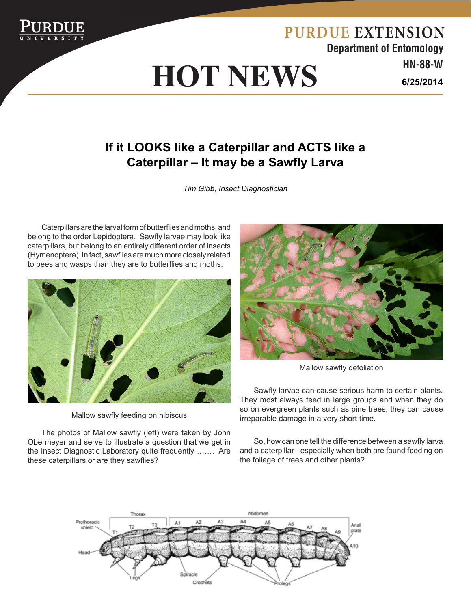

## **HOT NEWS HN-88-W HOT NEWS**

**Department of Entomology PURDUE EXTENSION 6/25/2014**

## **If it LOOKS like a Caterpillar and ACTS like a Caterpillar – It may be a Sawfly Larva**

*Tim Gibb, Insect Diagnostician*

Caterpillars are the larval form of butterflies and moths, and belong to the order Lepidoptera. Sawfly larvae may look like caterpillars, but belong to an entirely different order of insects (Hymenoptera). In fact, sawflies are much more closely related to bees and wasps than they are to butterflies and moths.



Mallow sawfly feeding on hibiscus

The photos of Mallow sawfly (left) were taken by John Obermeyer and serve to illustrate a question that we get in the Insect Diagnostic Laboratory quite frequently ……. Are these caterpillars or are they sawflies?



Mallow sawfly defoliation

Sawfly larvae can cause serious harm to certain plants. They most always feed in large groups and when they do so on evergreen plants such as pine trees, they can cause irreparable damage in a very short time.

So, how can one tell the difference between a sawfly larva and a caterpillar - especially when both are found feeding on the foliage of trees and other plants?